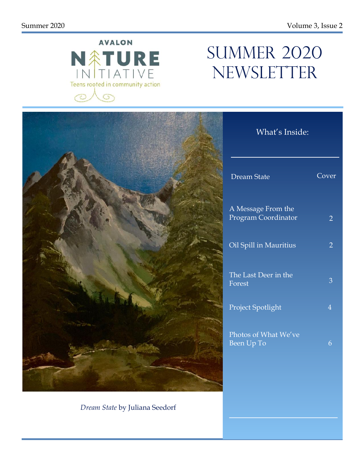

# SUMMER 2020 NEWSLETTER



*Dream State* by Juliana Seedorf

| <b>Dream State</b>                        | Cover          |
|-------------------------------------------|----------------|
| A Message From the<br>Program Coordinator | $\overline{2}$ |
| Oil Spill in Mauritius                    | 2              |
| The Last Deer in the<br>Forest            | З              |
| Project Spotlight                         | $\overline{4}$ |
| Photos of What We've<br>Been Up To        | 6              |

What's Inside: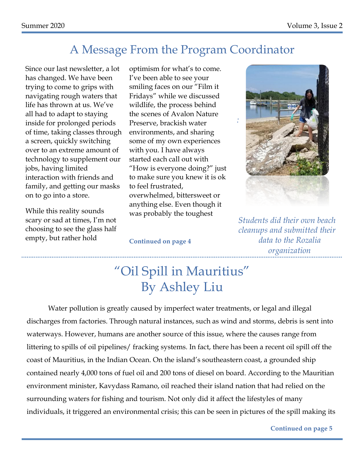### A Message From the Program Coordinator

Since our last newsletter, a lot has changed. We have been trying to come to grips with navigating rough waters that life has thrown at us. We've all had to adapt to staying inside for prolonged periods of time, taking classes through a screen, quickly switching over to an extreme amount of technology to supplement our jobs, having limited interaction with friends and family, and getting our masks on to go into a store.

While this reality sounds scary or sad at times, I'm not choosing to see the glass half empty, but rather hold

optimism for what's to come. I've been able to see your smiling faces on our "Film it Fridays" while we discussed wildlife, the process behind the scenes of Avalon Nature Preserve, brackish water environments, and sharing some of my own experiences with you. I have always started each call out with "How is everyone doing?" just to make sure you knew it is ok to feel frustrated, overwhelmed, bittersweet or anything else. Even though it was probably the toughest



*Students did their own beach cleanups and submitted their data to the Rozalia organization*

#### **Continued on page 4**

# "Oil Spill in Mauritius" By Ashley Liu

Water pollution is greatly caused by imperfect water treatments, or legal and illegal discharges from factories. Through natural instances, such as wind and storms, debris is sent into waterways. However, humans are another source of this issue, where the causes range from littering to spills of oil pipelines/ fracking systems. In fact, there has been a recent oil spill off the coast of Mauritius, in the Indian Ocean. On the island's southeastern coast, a grounded ship contained nearly 4,000 tons of fuel oil and 200 tons of diesel on board. According to the Mauritian environment minister, Kavydass Ramano, oil reached their island nation that had relied on the surrounding waters for fishing and tourism. Not only did it affect the lifestyles of many individuals, it triggered an environmental crisis; this can be seen in pictures of the spill making its

**Continued on page 5**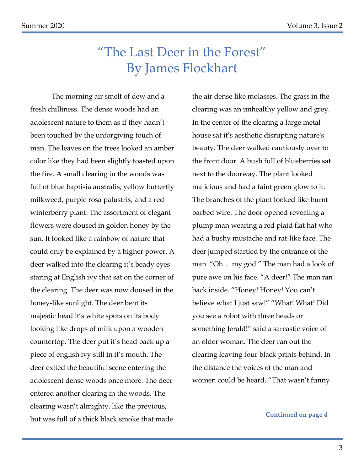# "The Last Deer in the Forest" By James Flockhart

The morning air smelt of dew and a fresh chilliness. The dense woods had an adolescent nature to them as if they hadn't been touched by the unforgiving touch of man. The leaves on the trees looked an amber color like they had been slightly toasted upon the fire. A small clearing in the woods was full of blue baptisia australis, yellow butterfly milkweed, purple rosa palustris, and a red winterberry plant. The assortment of elegant flowers were doused in golden honey by the sun. It looked like a rainbow of nature that could only be explained by a higher power. A deer walked into the clearing it's beady eyes staring at English ivy that sat on the corner of the clearing. The deer was now doused in the honey-like sunlight. The deer bent its majestic head it's white spots on its body looking like drops of milk upon a wooden countertop. The deer put it's head back up a piece of english ivy still in it's mouth. The deer exited the beautiful scene entering the adolescent dense woods once more. The deer entered another clearing in the woods. The clearing wasn't almighty, like the previous, but was full of a thick black smoke that made

the air dense like molasses. The grass in the clearing was an unhealthy yellow and grey. In the center of the clearing a large metal house sat it's aesthetic disrupting nature's beauty. The deer walked cautiously over to the front door. A bush full of blueberries sat next to the doorway. The plant looked malicious and had a faint green glow to it. The branches of the plant looked like burnt barbed wire. The door opened revealing a plump man wearing a red plaid flat hat who had a bushy mustache and rat-like face. The deer jumped startled by the entrance of the man. "Oh… my god." The man had a look of pure awe on his face. "A deer!" The man ran back inside. "Honey! Honey! You can't believe what I just saw!" "What! What! Did you see a robot with three heads or something Jerald!" said a sarcastic voice of an older woman. The deer ran out the clearing leaving four black prints behind. In the distance the voices of the man and women could be heard. "That wasn't funny

**Continued on page 4**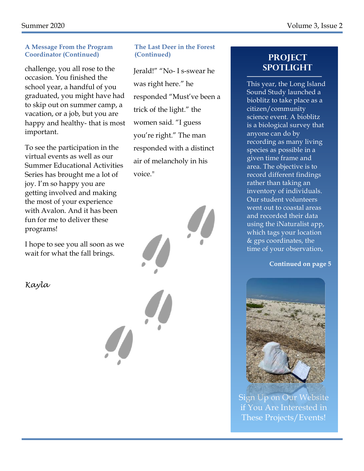#### **A Message From the Program Coordinator (Continued)**

challenge, you all rose to the occasion. You finished the school year, a handful of you graduated, you might have had to skip out on summer camp, a vacation, or a job, but you are happy and healthy- that is most important.

To see the participation in the virtual events as well as our Summer Educational Activities Series has brought me a lot of joy. I'm so happy you are getting involved and making the most of your experience with Avalon. And it has been fun for me to deliver these programs!

I hope to see you all soon as we wait for what the fall brings.

*Kayla* 

### **The Last Deer in the Forest (Continued) Project**

Jerald!" "No- I s-swear he was right here." he responded "Must've been a trick of the light." the women said. "I guess you're right." The man responded with a distinct air of melancholy in his voice."

# **SPOTLIGHT**

This year, the Long Island Sound Study launched a bioblitz to take place as a citizen/community science event. A bioblitz is a biological survey that anyone can do by recording as many living species as possible in a given time frame and area. The objective is to record different findings rather than taking an inventory of individuals. Our student volunteers went out to coastal areas and recorded their data using the iNaturalist app, which tags your location & gps coordinates, the time of your observation,

#### **Continued on page 5**



Sign Up on Our Website if You Are Interested in These Projects/Events!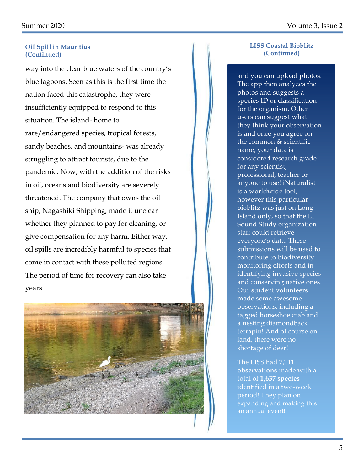#### **Oil Spill in Mauritius (Continued)**

way into the clear blue waters of the country's blue lagoons. Seen as this is the first time the nation faced this catastrophe, they were insufficiently equipped to respond to this situation. The island- home to rare/endangered species, tropical forests, sandy beaches, and mountains- was already struggling to attract tourists, due to the pandemic. Now, with the addition of the risks in oil, oceans and biodiversity are severely threatened. The company that owns the oil ship, Nagashiki Shipping, made it unclear whether they planned to pay for cleaning, or give compensation for any harm. Either way, oil spills are incredibly harmful to species that come in contact with these polluted regions. The period of time for recovery can also take years.



#### **LISS Coastal Bioblitz (Continued)**

and you can upload photos. The app then analyzes the photos and suggests a species ID or classification for the organism. Other users can suggest what they think your observation is and once you agree on the common & scientific name, your data is considered research grade for any scientist, professional, teacher or anyone to use! iNaturalist is a worldwide tool, however this particular bioblitz was just on Long Island only, so that the LI Sound Study organization staff could retrieve everyone's data. These submissions will be used to contribute to biodiversity monitoring efforts and in identifying invasive species and conserving native ones. Our student volunteers made some awesome observations, including a tagged horseshoe crab and a nesting diamondback terrapin! And of course on land, there were no shortage of deer!

The LISS had **7,111 observations** made with a total of **1,637 species** identified in a two-week period! They plan on expanding and making this an annual event!